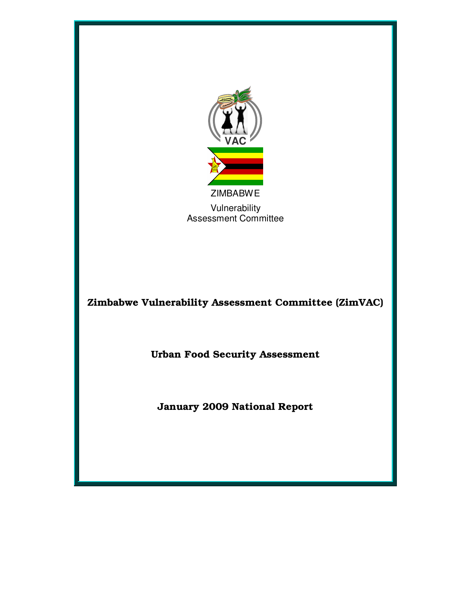

Zimbabwe Vulnerability Assessment Committee (ZimVAC)

Urban Food Security Assessment

January 2009 National Report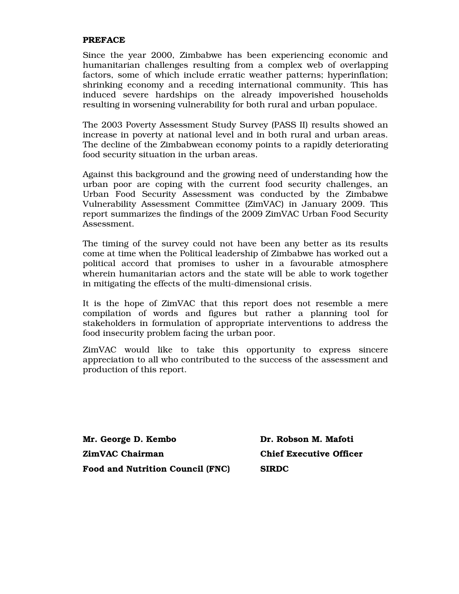#### PREFACE

Since the year 2000, Zimbabwe has been experiencing economic and humanitarian challenges resulting from a complex web of overlapping factors, some of which include erratic weather patterns; hyperinflation; shrinking economy and a receding international community. This has induced severe hardships on the already impoverished households resulting in worsening vulnerability for both rural and urban populace.

The 2003 Poverty Assessment Study Survey (PASS II) results showed an increase in poverty at national level and in both rural and urban areas. The decline of the Zimbabwean economy points to a rapidly deteriorating food security situation in the urban areas.

Against this background and the growing need of understanding how the urban poor are coping with the current food security challenges, an Urban Food Security Assessment was conducted by the Zimbabwe Vulnerability Assessment Committee (ZimVAC) in January 2009. This report summarizes the findings of the 2009 ZimVAC Urban Food Security Assessment.

The timing of the survey could not have been any better as its results come at time when the Political leadership of Zimbabwe has worked out a political accord that promises to usher in a favourable atmosphere wherein humanitarian actors and the state will be able to work together in mitigating the effects of the multi-dimensional crisis.

It is the hope of ZimVAC that this report does not resemble a mere compilation of words and figures but rather a planning tool for stakeholders in formulation of appropriate interventions to address the food insecurity problem facing the urban poor.

ZimVAC would like to take this opportunity to express sincere appreciation to all who contributed to the success of the assessment and production of this report.

Mr. George D. Kembo Dr. Robson M. Mafoti ZimVAC Chairman Chief Executive Officer Food and Nutrition Council (FNC) SIRDC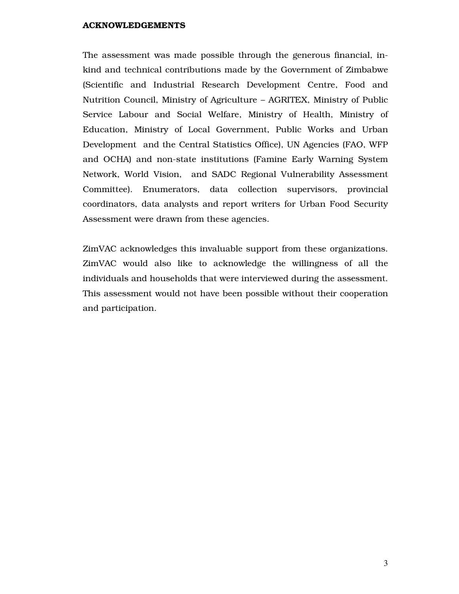#### ACKNOWLEDGEMENTS

The assessment was made possible through the generous financial, inkind and technical contributions made by the Government of Zimbabwe (Scientific and Industrial Research Development Centre, Food and Nutrition Council, Ministry of Agriculture – AGRITEX, Ministry of Public Service Labour and Social Welfare, Ministry of Health, Ministry of Education, Ministry of Local Government, Public Works and Urban Development and the Central Statistics Office), UN Agencies (FAO, WFP and OCHA) and non-state institutions (Famine Early Warning System Network, World Vision, and SADC Regional Vulnerability Assessment Committee). Enumerators, data collection supervisors, provincial coordinators, data analysts and report writers for Urban Food Security Assessment were drawn from these agencies.

ZimVAC acknowledges this invaluable support from these organizations. ZimVAC would also like to acknowledge the willingness of all the individuals and households that were interviewed during the assessment. This assessment would not have been possible without their cooperation and participation.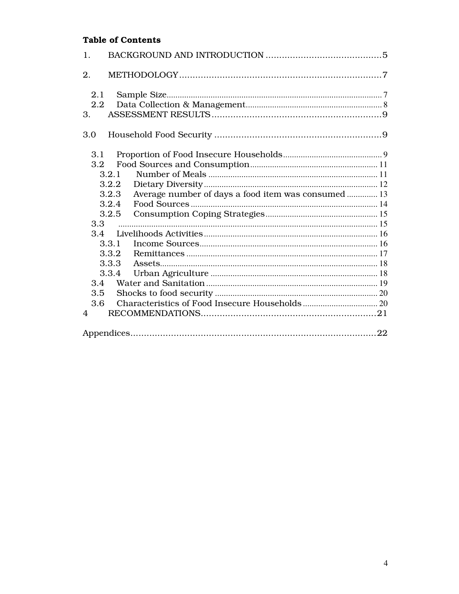# **Table of Contents**

| 1.                            |                         |                                                     |  |
|-------------------------------|-------------------------|-----------------------------------------------------|--|
| 2.                            |                         |                                                     |  |
| 2.1<br>$2.2\phantom{0}$<br>3. |                         |                                                     |  |
| 3.0                           |                         |                                                     |  |
| 3.1<br>$3.2\phantom{0}$       | 3.2.1                   |                                                     |  |
|                               | 3.2.2<br>3.2.3<br>3.2.4 | Average number of days a food item was consumed  13 |  |
| 3.3                           | 3.2.5                   |                                                     |  |
| 3.4                           |                         |                                                     |  |
|                               | 3.3.1                   |                                                     |  |
|                               | 3.3.2                   |                                                     |  |
|                               | 3.3.3                   |                                                     |  |
| 3.4                           | 3.3.4                   |                                                     |  |
| 3.5                           |                         |                                                     |  |
| 3.6                           |                         |                                                     |  |
| 4                             |                         |                                                     |  |
|                               |                         |                                                     |  |
|                               |                         |                                                     |  |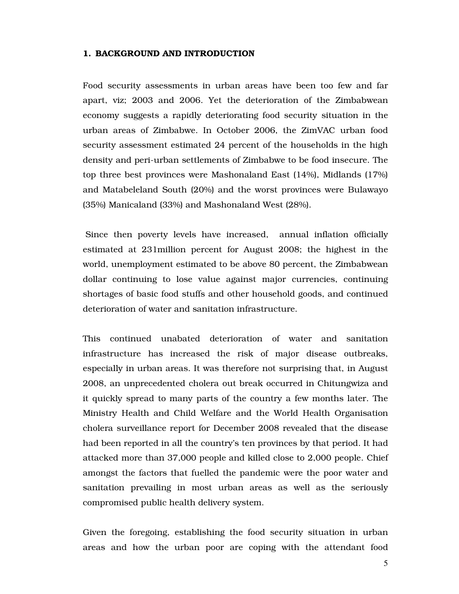#### 1. BACKGROUND AND INTRODUCTION

Food security assessments in urban areas have been too few and far apart, viz; 2003 and 2006. Yet the deterioration of the Zimbabwean economy suggests a rapidly deteriorating food security situation in the urban areas of Zimbabwe. In October 2006, the ZimVAC urban food security assessment estimated 24 percent of the households in the high density and peri-urban settlements of Zimbabwe to be food insecure. The top three best provinces were Mashonaland East (14%), Midlands (17%) and Matabeleland South (20%) and the worst provinces were Bulawayo (35%) Manicaland (33%) and Mashonaland West (28%).

Since then poverty levels have increased, annual inflation officially estimated at 231million percent for August 2008; the highest in the world, unemployment estimated to be above 80 percent, the Zimbabwean dollar continuing to lose value against major currencies, continuing shortages of basic food stuffs and other household goods, and continued deterioration of water and sanitation infrastructure.

This continued unabated deterioration of water and sanitation infrastructure has increased the risk of major disease outbreaks, especially in urban areas. It was therefore not surprising that, in August 2008, an unprecedented cholera out break occurred in Chitungwiza and it quickly spread to many parts of the country a few months later. The Ministry Health and Child Welfare and the World Health Organisation cholera surveillance report for December 2008 revealed that the disease had been reported in all the country's ten provinces by that period. It had attacked more than 37,000 people and killed close to 2,000 people. Chief amongst the factors that fuelled the pandemic were the poor water and sanitation prevailing in most urban areas as well as the seriously compromised public health delivery system.

Given the foregoing, establishing the food security situation in urban areas and how the urban poor are coping with the attendant food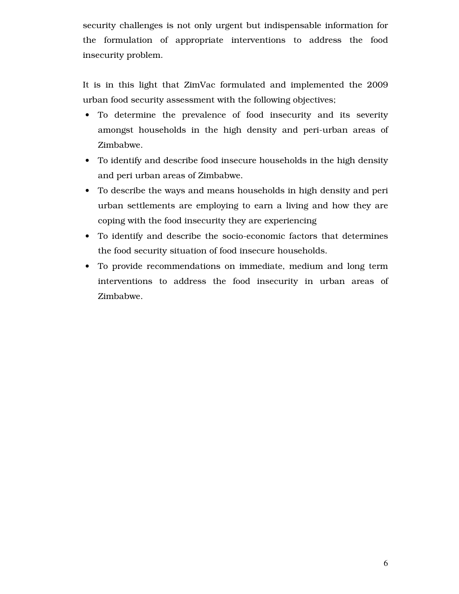security challenges is not only urgent but indispensable information for the formulation of appropriate interventions to address the food insecurity problem.

It is in this light that ZimVac formulated and implemented the 2009 urban food security assessment with the following objectives;

- To determine the prevalence of food insecurity and its severity amongst households in the high density and peri-urban areas of Zimbabwe.
- To identify and describe food insecure households in the high density and peri urban areas of Zimbabwe.
- To describe the ways and means households in high density and peri urban settlements are employing to earn a living and how they are coping with the food insecurity they are experiencing
- To identify and describe the socio-economic factors that determines the food security situation of food insecure households.
- To provide recommendations on immediate, medium and long term interventions to address the food insecurity in urban areas of Zimbabwe.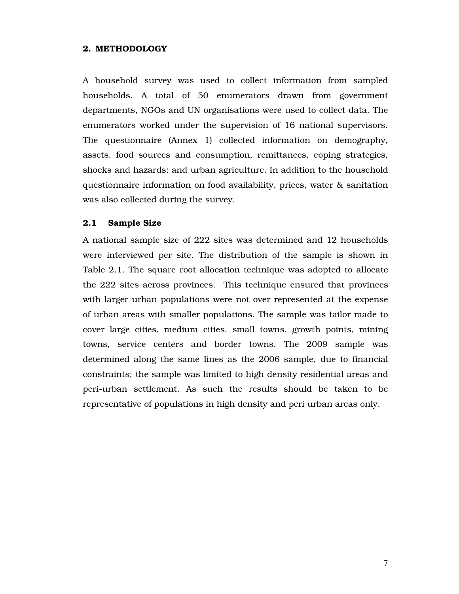#### 2. METHODOLOGY

A household survey was used to collect information from sampled households. A total of 50 enumerators drawn from government departments, NGOs and UN organisations were used to collect data. The enumerators worked under the supervision of 16 national supervisors. The questionnaire (Annex 1) collected information on demography, assets, food sources and consumption, remittances, coping strategies, shocks and hazards; and urban agriculture. In addition to the household questionnaire information on food availability, prices, water & sanitation was also collected during the survey.

#### 2.1 Sample Size

A national sample size of 222 sites was determined and 12 households were interviewed per site. The distribution of the sample is shown in Table 2.1. The square root allocation technique was adopted to allocate the 222 sites across provinces. This technique ensured that provinces with larger urban populations were not over represented at the expense of urban areas with smaller populations. The sample was tailor made to cover large cities, medium cities, small towns, growth points, mining towns, service centers and border towns. The 2009 sample was determined along the same lines as the 2006 sample, due to financial constraints; the sample was limited to high density residential areas and peri-urban settlement. As such the results should be taken to be representative of populations in high density and peri urban areas only.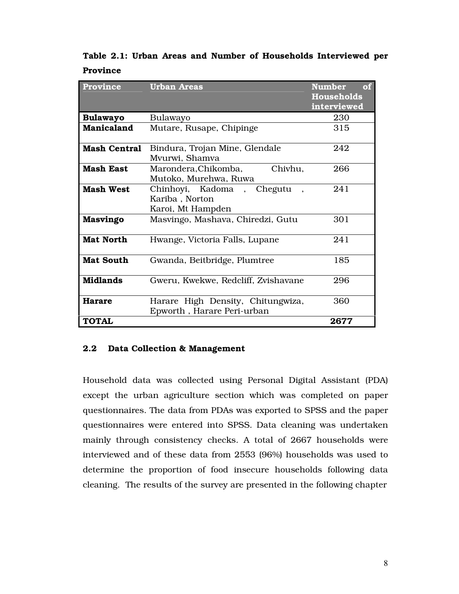Table 2.1: Urban Areas and Number of Households Interviewed per Province

| <b>Province</b>     | <b>Urban Areas</b>                  | <b>Number</b><br>of<br><b>Households</b> |
|---------------------|-------------------------------------|------------------------------------------|
|                     |                                     | interviewed                              |
| <b>Bulawayo</b>     | Bulawayo                            | 230                                      |
| <b>Manicaland</b>   | Mutare, Rusape, Chipinge            | 315                                      |
|                     |                                     |                                          |
| <b>Mash Central</b> | Bindura, Trojan Mine, Glendale      | 242                                      |
|                     | Mvurwi, Shamva                      |                                          |
| <b>Mash East</b>    | Chivhu,<br>Marondera, Chikomba,     | 266                                      |
|                     | Mutoko, Murehwa, Ruwa               |                                          |
| <b>Mash West</b>    | Chinhoyi, Kadoma, Chegutu           | 241                                      |
|                     | Kariba, Norton                      |                                          |
|                     | Karoi, Mt Hampden                   |                                          |
| <b>Masvingo</b>     | Masvingo, Mashava, Chiredzi, Gutu   | 301                                      |
| <b>Mat North</b>    | Hwange, Victoria Falls, Lupane      | 241                                      |
| <b>Mat South</b>    | Gwanda, Beitbridge, Plumtree        | 185                                      |
| <b>Midlands</b>     | Gweru, Kwekwe, Redcliff, Zvishavane | 296                                      |
| <b>Harare</b>       | Harare High Density, Chitungwiza,   | 360                                      |
|                     | Epworth, Harare Peri-urban          |                                          |
| <b>TOTAL</b>        |                                     | 2677                                     |

#### 2.2 Data Collection & Management

Household data was collected using Personal Digital Assistant (PDA) except the urban agriculture section which was completed on paper questionnaires. The data from PDAs was exported to SPSS and the paper questionnaires were entered into SPSS. Data cleaning was undertaken mainly through consistency checks. A total of 2667 households were interviewed and of these data from 2553 (96%) households was used to determine the proportion of food insecure households following data cleaning. The results of the survey are presented in the following chapter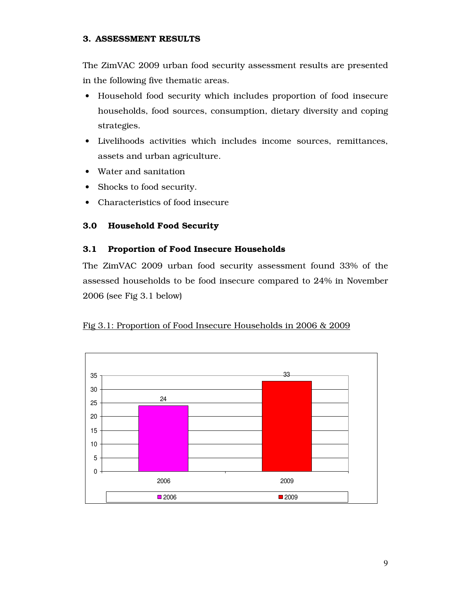## 3. ASSESSMENT RESULTS

The ZimVAC 2009 urban food security assessment results are presented in the following five thematic areas.

- Household food security which includes proportion of food insecure households, food sources, consumption, dietary diversity and coping strategies.
- Livelihoods activities which includes income sources, remittances, assets and urban agriculture.
- Water and sanitation
- Shocks to food security.
- Characteristics of food insecure

# 3.0 Household Food Security

# 3.1 Proportion of Food Insecure Households

The ZimVAC 2009 urban food security assessment found 33% of the assessed households to be food insecure compared to 24% in November 2006 (see Fig 3.1 below)

# Fig 3.1: Proportion of Food Insecure Households in 2006 & 2009

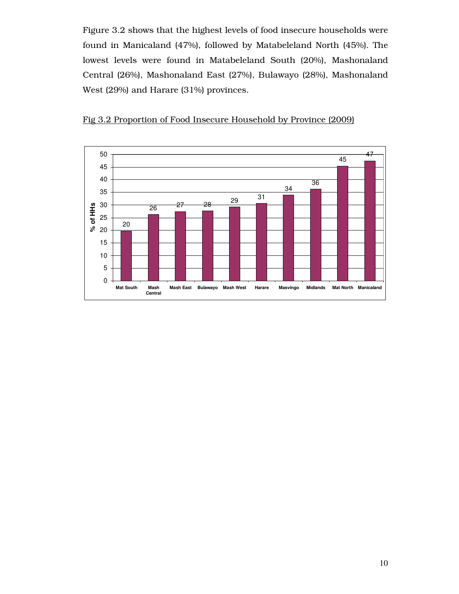Figure 3.2 shows that the highest levels of food insecure households were found in Manicaland (47%), followed by Matabeleland North (45%). The lowest levels were found in Matabeleland South (20%), Mashonaland Central (26%), Mashonaland East (27%), Bulawayo (28%), Mashonaland West (29%) and Harare (31%) provinces.



Fig 3.2 Proportion of Food Insecure Household by Province (2009)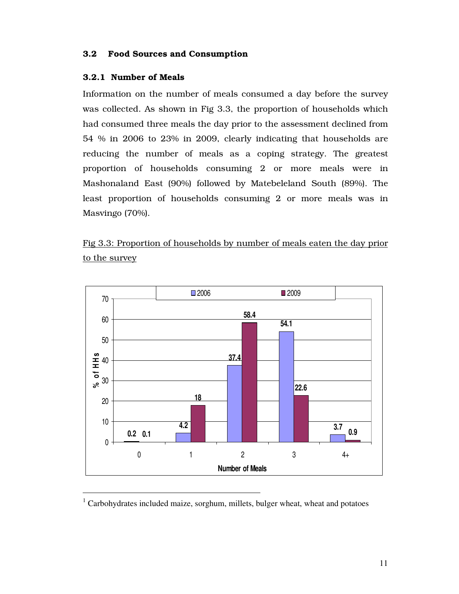# 3.2 Food Sources and Consumption

#### 3.2.1 Number of Meals

Information on the number of meals consumed a day before the survey was collected. As shown in Fig 3.3, the proportion of households which had consumed three meals the day prior to the assessment declined from 54 % in 2006 to 23% in 2009, clearly indicating that households are reducing the number of meals as a coping strategy. The greatest proportion of households consuming 2 or more meals were in Mashonaland East (90%) followed by Matebeleland South (89%). The least proportion of households consuming 2 or more meals was in Masvingo (70%).

Fig 3.3: Proportion of households by number of meals eaten the day prior to the survey



 $1$  Carbohydrates included maize, sorghum, millets, bulger wheat, wheat and potatoes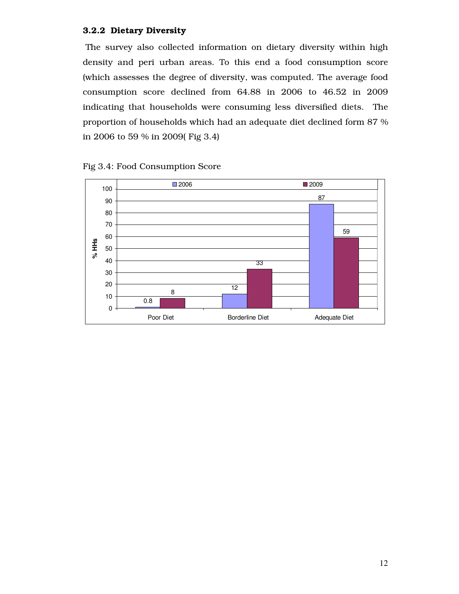#### 3.2.2 Dietary Diversity

The survey also collected information on dietary diversity within high density and peri urban areas. To this end a food consumption score (which assesses the degree of diversity, was computed. The average food consumption score declined from 64.88 in 2006 to 46.52 in 2009 indicating that households were consuming less diversified diets. The proportion of households which had an adequate diet declined form 87 % in 2006 to 59 % in 2009( Fig 3.4)



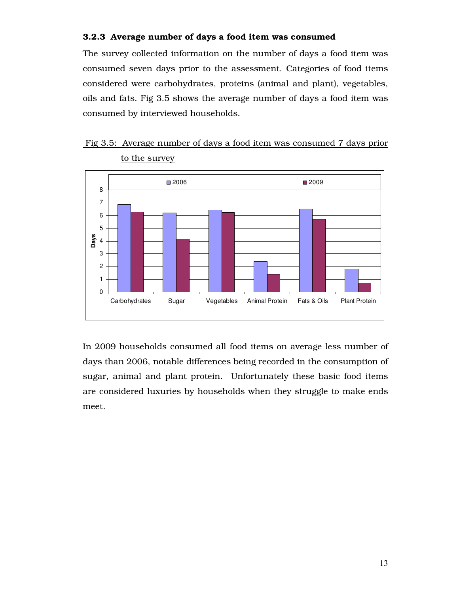# 3.2.3 Average number of days a food item was consumed

The survey collected information on the number of days a food item was consumed seven days prior to the assessment. Categories of food items considered were carbohydrates, proteins (animal and plant), vegetables, oils and fats. Fig 3.5 shows the average number of days a food item was consumed by interviewed households.





In 2009 households consumed all food items on average less number of days than 2006, notable differences being recorded in the consumption of sugar, animal and plant protein. Unfortunately these basic food items are considered luxuries by households when they struggle to make ends meet.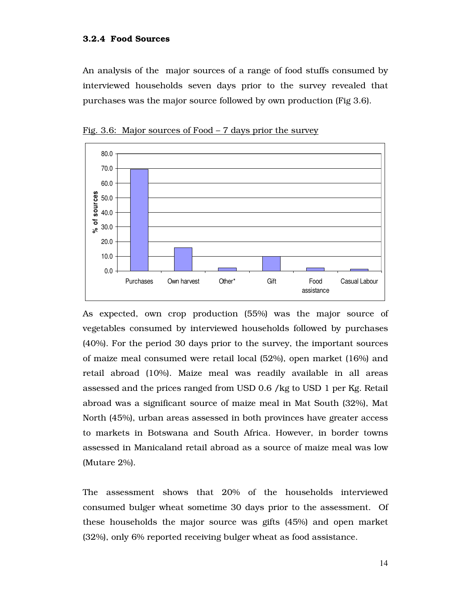An analysis of the major sources of a range of food stuffs consumed by interviewed households seven days prior to the survey revealed that purchases was the major source followed by own production (Fig 3.6).



Fig. 3.6: Major sources of Food – 7 days prior the survey

As expected, own crop production (55%) was the major source of vegetables consumed by interviewed households followed by purchases (40%). For the period 30 days prior to the survey, the important sources of maize meal consumed were retail local (52%), open market (16%) and retail abroad (10%). Maize meal was readily available in all areas assessed and the prices ranged from USD 0.6 /kg to USD 1 per Kg. Retail abroad was a significant source of maize meal in Mat South (32%), Mat North (45%), urban areas assessed in both provinces have greater access to markets in Botswana and South Africa. However, in border towns assessed in Manicaland retail abroad as a source of maize meal was low (Mutare 2%).

The assessment shows that 20% of the households interviewed consumed bulger wheat sometime 30 days prior to the assessment. Of these households the major source was gifts (45%) and open market (32%), only 6% reported receiving bulger wheat as food assistance.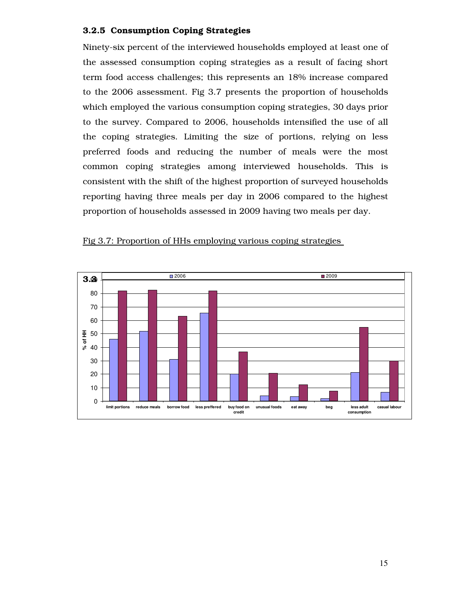## 3.2.5 Consumption Coping Strategies

Ninety-six percent of the interviewed households employed at least one of the assessed consumption coping strategies as a result of facing short term food access challenges; this represents an 18% increase compared to the 2006 assessment. Fig 3.7 presents the proportion of households which employed the various consumption coping strategies, 30 days prior to the survey. Compared to 2006, households intensified the use of all the coping strategies. Limiting the size of portions, relying on less preferred foods and reducing the number of meals were the most common coping strategies among interviewed households. This is consistent with the shift of the highest proportion of surveyed households reporting having three meals per day in 2006 compared to the highest proportion of households assessed in 2009 having two meals per day.



#### Fig 3.7: Proportion of HHs employing various coping strategies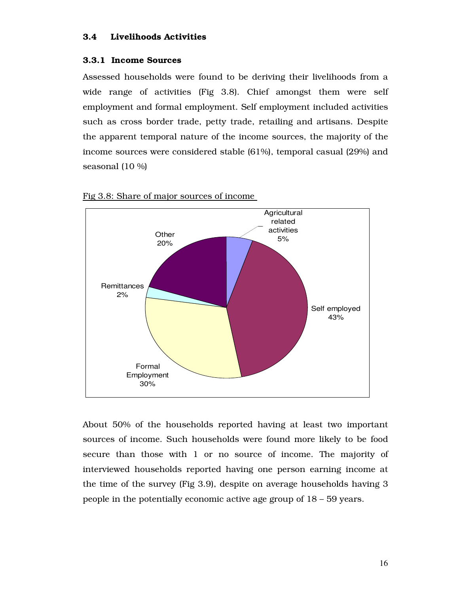#### 3.4 Livelihoods Activities

#### 3.3.1 Income Sources

Assessed households were found to be deriving their livelihoods from a wide range of activities (Fig 3.8). Chief amongst them were self employment and formal employment. Self employment included activities such as cross border trade, petty trade, retailing and artisans. Despite the apparent temporal nature of the income sources, the majority of the income sources were considered stable (61%), temporal casual (29%) and seasonal (10 %)



Fig 3.8: Share of major sources of income

About 50% of the households reported having at least two important sources of income. Such households were found more likely to be food secure than those with 1 or no source of income. The majority of interviewed households reported having one person earning income at the time of the survey (Fig 3.9), despite on average households having 3 people in the potentially economic active age group of 18 – 59 years.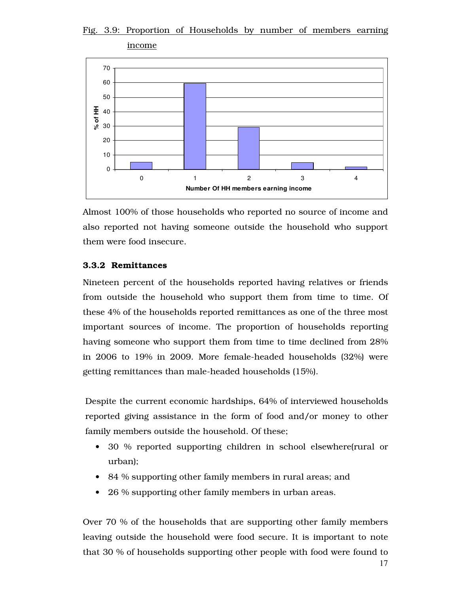# Fig. 3.9: Proportion of Households by number of members earning



Almost 100% of those households who reported no source of income and also reported not having someone outside the household who support them were food insecure.

## 3.3.2 Remittances

Nineteen percent of the households reported having relatives or friends from outside the household who support them from time to time. Of these 4% of the households reported remittances as one of the three most important sources of income. The proportion of households reporting having someone who support them from time to time declined from 28% in 2006 to 19% in 2009. More female-headed households (32%) were getting remittances than male-headed households (15%).

Despite the current economic hardships, 64% of interviewed households reported giving assistance in the form of food and/or money to other family members outside the household. Of these;

- 30 % reported supporting children in school elsewhere(rural or urban);
- 84 % supporting other family members in rural areas; and
- 26 % supporting other family members in urban areas.

Over 70 % of the households that are supporting other family members leaving outside the household were food secure. It is important to note that 30 % of households supporting other people with food were found to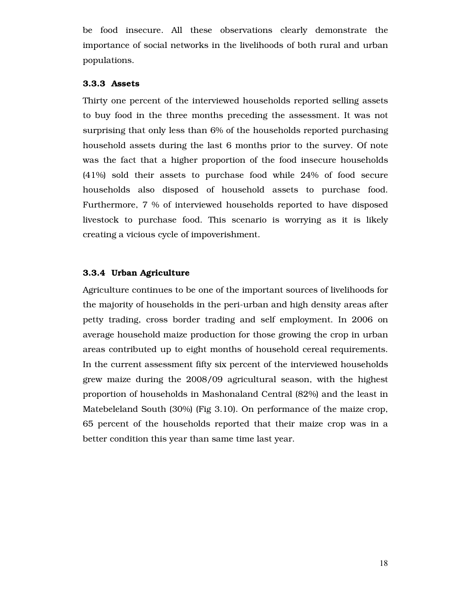be food insecure. All these observations clearly demonstrate the importance of social networks in the livelihoods of both rural and urban populations.

#### 3.3.3 Assets

Thirty one percent of the interviewed households reported selling assets to buy food in the three months preceding the assessment. It was not surprising that only less than 6% of the households reported purchasing household assets during the last 6 months prior to the survey. Of note was the fact that a higher proportion of the food insecure households (41%) sold their assets to purchase food while 24% of food secure households also disposed of household assets to purchase food. Furthermore, 7 % of interviewed households reported to have disposed livestock to purchase food. This scenario is worrying as it is likely creating a vicious cycle of impoverishment.

#### 3.3.4 Urban Agriculture

Agriculture continues to be one of the important sources of livelihoods for the majority of households in the peri-urban and high density areas after petty trading, cross border trading and self employment. In 2006 on average household maize production for those growing the crop in urban areas contributed up to eight months of household cereal requirements. In the current assessment fifty six percent of the interviewed households grew maize during the 2008/09 agricultural season, with the highest proportion of households in Mashonaland Central (82%) and the least in Matebeleland South (30%) (Fig 3.10). On performance of the maize crop, 65 percent of the households reported that their maize crop was in a better condition this year than same time last year.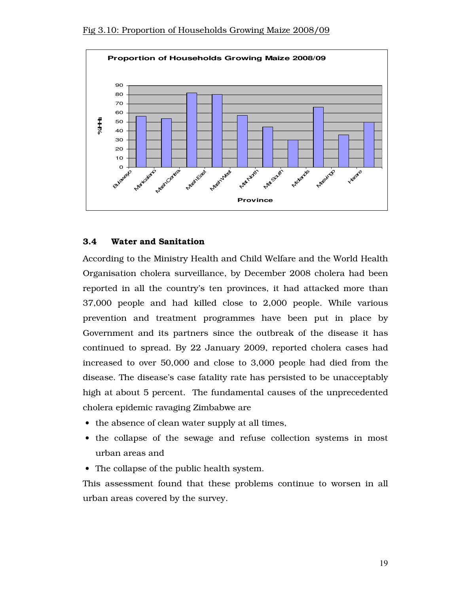

#### 3.4 Water and Sanitation

According to the Ministry Health and Child Welfare and the World Health Organisation cholera surveillance, by December 2008 cholera had been reported in all the country's ten provinces, it had attacked more than 37,000 people and had killed close to 2,000 people. While various prevention and treatment programmes have been put in place by Government and its partners since the outbreak of the disease it has continued to spread. By 22 January 2009, reported cholera cases had increased to over 50,000 and close to 3,000 people had died from the disease. The disease's case fatality rate has persisted to be unacceptably high at about 5 percent. The fundamental causes of the unprecedented cholera epidemic ravaging Zimbabwe are

- the absence of clean water supply at all times,
- the collapse of the sewage and refuse collection systems in most urban areas and
- The collapse of the public health system.

This assessment found that these problems continue to worsen in all urban areas covered by the survey.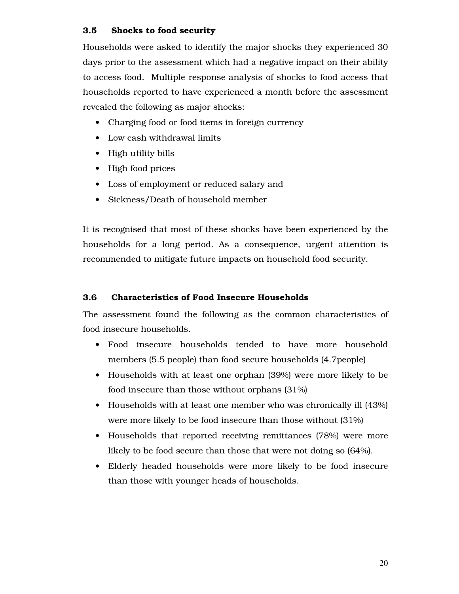# 3.5 Shocks to food security

Households were asked to identify the major shocks they experienced 30 days prior to the assessment which had a negative impact on their ability to access food. Multiple response analysis of shocks to food access that households reported to have experienced a month before the assessment revealed the following as major shocks:

- Charging food or food items in foreign currency
- Low cash withdrawal limits
- High utility bills
- High food prices
- Loss of employment or reduced salary and
- Sickness/Death of household member

It is recognised that most of these shocks have been experienced by the households for a long period. As a consequence, urgent attention is recommended to mitigate future impacts on household food security.

# 3.6 Characteristics of Food Insecure Households

The assessment found the following as the common characteristics of food insecure households.

- Food insecure households tended to have more household members (5.5 people) than food secure households (4.7people)
- Households with at least one orphan (39%) were more likely to be food insecure than those without orphans (31%)
- Households with at least one member who was chronically ill (43%) were more likely to be food insecure than those without (31%)
- Households that reported receiving remittances (78%) were more likely to be food secure than those that were not doing so (64%).
- Elderly headed households were more likely to be food insecure than those with younger heads of households.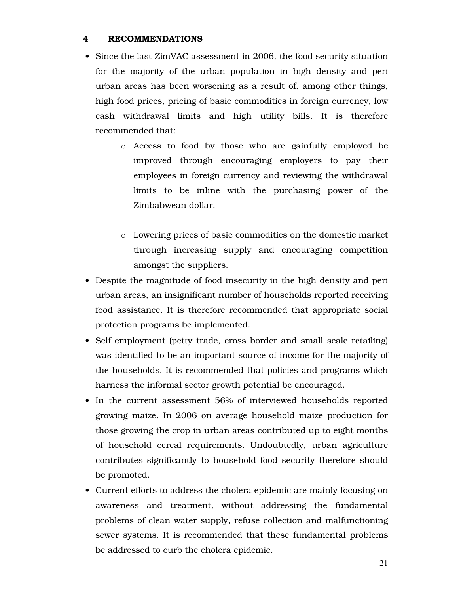#### 4 RECOMMENDATIONS

- Since the last ZimVAC assessment in 2006, the food security situation for the majority of the urban population in high density and peri urban areas has been worsening as a result of, among other things, high food prices, pricing of basic commodities in foreign currency, low cash withdrawal limits and high utility bills. It is therefore recommended that:
	- o Access to food by those who are gainfully employed be improved through encouraging employers to pay their employees in foreign currency and reviewing the withdrawal limits to be inline with the purchasing power of the Zimbabwean dollar.
	- o Lowering prices of basic commodities on the domestic market through increasing supply and encouraging competition amongst the suppliers.
- Despite the magnitude of food insecurity in the high density and peri urban areas, an insignificant number of households reported receiving food assistance. It is therefore recommended that appropriate social protection programs be implemented.
- Self employment (petty trade, cross border and small scale retailing) was identified to be an important source of income for the majority of the households. It is recommended that policies and programs which harness the informal sector growth potential be encouraged.
- In the current assessment 56% of interviewed households reported growing maize. In 2006 on average household maize production for those growing the crop in urban areas contributed up to eight months of household cereal requirements. Undoubtedly, urban agriculture contributes significantly to household food security therefore should be promoted.
- Current efforts to address the cholera epidemic are mainly focusing on awareness and treatment, without addressing the fundamental problems of clean water supply, refuse collection and malfunctioning sewer systems. It is recommended that these fundamental problems be addressed to curb the cholera epidemic.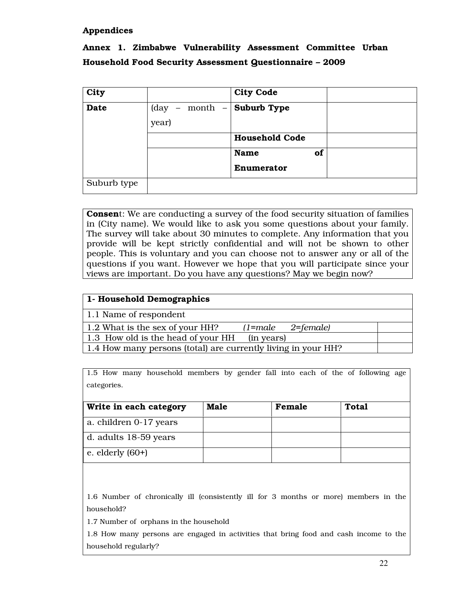## Appendices

# Annex 1. Zimbabwe Vulnerability Assessment Committee Urban Household Food Security Assessment Questionnaire – 2009

| City        |                                                                               | <b>City Code</b>      |  |
|-------------|-------------------------------------------------------------------------------|-----------------------|--|
| <b>Date</b> | $\begin{bmatrix} \text{day} & - & \text{month} & - \end{bmatrix}$ Suburb Type |                       |  |
|             | year)                                                                         |                       |  |
|             |                                                                               | <b>Household Code</b> |  |
|             |                                                                               | of<br><b>Name</b>     |  |
|             |                                                                               | Enumerator            |  |
| Suburb type |                                                                               |                       |  |

Consent: We are conducting a survey of the food security situation of families in (City name). We would like to ask you some questions about your family. The survey will take about 30 minutes to complete. Any information that you provide will be kept strictly confidential and will not be shown to other people. This is voluntary and you can choose not to answer any or all of the questions if you want. However we hope that you will participate since your views are important. Do you have any questions? May we begin now?

#### 1- Household Demographics

1.1 Name of respondent

| 1.2 What is the sex of your HH?                               | $(1 = male \qquad 2 = female)$ |  |
|---------------------------------------------------------------|--------------------------------|--|
| 1.3 How old is the head of your HH (in years)                 |                                |  |
| 1.4 How many persons (total) are currently living in your HH? |                                |  |

1.5 How many household members by gender fall into each of the of following age categories.

| Write in each category | <b>Male</b> | Female | Total |
|------------------------|-------------|--------|-------|
| a. children 0-17 years |             |        |       |
| d. adults 18-59 years  |             |        |       |
| e. elderly $(60+)$     |             |        |       |

1.6 Number of chronically ill (consistently ill for 3 months or more) members in the household?

1.7 Number of orphans in the household

1.8 How many persons are engaged in activities that bring food and cash income to the household regularly?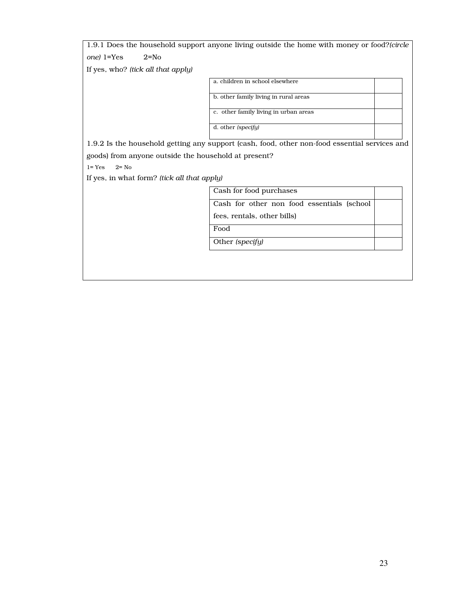|                                                      | 1.9.1 Does the household support anyone living outside the home with money or food?(circle    |  |
|------------------------------------------------------|-----------------------------------------------------------------------------------------------|--|
| one) 1=Yes<br>$2 = No$                               |                                                                                               |  |
| If yes, who? (tick all that apply)                   |                                                                                               |  |
|                                                      | a. children in school elsewhere                                                               |  |
|                                                      | b. other family living in rural areas                                                         |  |
|                                                      | c. other family living in urban areas                                                         |  |
|                                                      | d. other (specify)                                                                            |  |
|                                                      | 1.9.2 Is the household getting any support (cash, food, other non-food essential services and |  |
| goods) from anyone outside the household at present? |                                                                                               |  |
| $2 = No$<br>$1 = Yes$                                |                                                                                               |  |
| If yes, in what form? (tick all that apply)          |                                                                                               |  |
|                                                      | Cash for food purchases                                                                       |  |
|                                                      | Cash for other non food essentials (school                                                    |  |
|                                                      | fees, rentals, other bills)                                                                   |  |
|                                                      | Food                                                                                          |  |
|                                                      | Other (specify)                                                                               |  |
|                                                      |                                                                                               |  |
|                                                      |                                                                                               |  |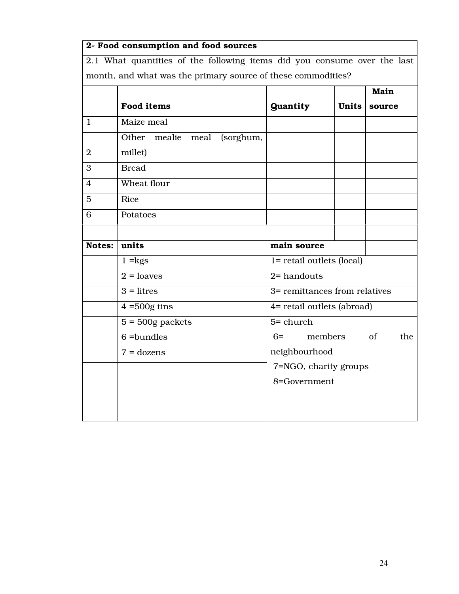| 2- Food consumption and food sources                                     |                                                              |                               |              |           |  |  |
|--------------------------------------------------------------------------|--------------------------------------------------------------|-------------------------------|--------------|-----------|--|--|
| 2.1 What quantities of the following items did you consume over the last |                                                              |                               |              |           |  |  |
|                                                                          | month, and what was the primary source of these commodities? |                               |              |           |  |  |
|                                                                          |                                                              |                               |              | Main      |  |  |
|                                                                          | <b>Food items</b>                                            | <b>Quantity</b>               | <b>Units</b> | source    |  |  |
| $\mathbf{1}$                                                             | Maize meal                                                   |                               |              |           |  |  |
|                                                                          | Other mealie meal (sorghum,                                  |                               |              |           |  |  |
| $\overline{2}$                                                           | millet)                                                      |                               |              |           |  |  |
| 3                                                                        | <b>Bread</b>                                                 |                               |              |           |  |  |
| $\overline{4}$                                                           | Wheat flour                                                  |                               |              |           |  |  |
| 5                                                                        | Rice                                                         |                               |              |           |  |  |
| 6                                                                        | Potatoes                                                     |                               |              |           |  |  |
|                                                                          |                                                              |                               |              |           |  |  |
| <b>Notes:</b>                                                            | units                                                        | main source                   |              |           |  |  |
|                                                                          | $1 = kgs$                                                    | 1= retail outlets (local)     |              |           |  |  |
|                                                                          | $2 = loaves$                                                 | $2$ = handouts                |              |           |  |  |
|                                                                          | $3 = litres$                                                 | 3= remittances from relatives |              |           |  |  |
|                                                                          | $4 = 500g$ tins                                              | 4= retail outlets (abroad)    |              |           |  |  |
|                                                                          | $5 = 500g$ packets                                           | $5 =$ church                  |              |           |  |  |
|                                                                          | $6 =$ bundles                                                | $6=$                          | members      | of<br>the |  |  |
|                                                                          | $7 = \text{dozens}$                                          | neighbourhood                 |              |           |  |  |
|                                                                          | 7=NGO, charity groups                                        |                               |              |           |  |  |
|                                                                          |                                                              | 8=Government                  |              |           |  |  |
|                                                                          |                                                              |                               |              |           |  |  |
|                                                                          |                                                              |                               |              |           |  |  |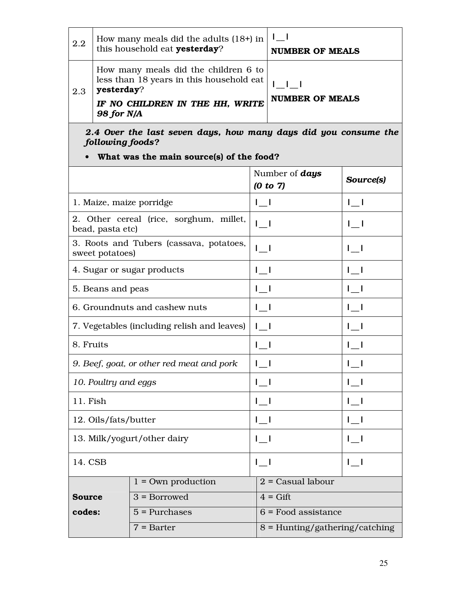| 2.2                  | How many meals did the adults $(18+)$ in<br>this household eat yesterday?                                                                       | $\mathsf{l} \_ \mathsf{l}$<br><b>NUMBER OF MEALS</b> |              |  |  |  |
|----------------------|-------------------------------------------------------------------------------------------------------------------------------------------------|------------------------------------------------------|--------------|--|--|--|
| 2.3                  | How many meals did the children 6 to<br>less than 18 years in this household eat<br>yesterday?<br>IF NO CHILDREN IN THE HH, WRITE<br>98 for N/A | $1 \pm 1 \pm 1$<br><b>NUMBER OF MEALS</b>            |              |  |  |  |
|                      | 2.4 Over the last seven days, how many days did you consume the<br>following foods?<br>What was the main source(s) of the food?                 |                                                      |              |  |  |  |
|                      |                                                                                                                                                 | Number of <b>days</b><br>(0 to 7)                    | Source(s)    |  |  |  |
|                      | 1. Maize, maize porridge                                                                                                                        | $1 - 1$                                              | $\mathbf{I}$ |  |  |  |
|                      | 2. Other cereal (rice, sorghum, millet,<br>bead, pasta etc)                                                                                     | $\lfloor$                                            | $\mathbf{I}$ |  |  |  |
|                      | 3. Roots and Tubers (cassava, potatoes,<br>sweet potatoes)                                                                                      | $\lfloor$                                            | $\lfloor -1$ |  |  |  |
|                      | 4. Sugar or sugar products                                                                                                                      | $\lfloor$                                            | $\lfloor -1$ |  |  |  |
|                      | 5. Beans and peas                                                                                                                               | $\lfloor$                                            | $\lfloor$    |  |  |  |
|                      | 6. Groundnuts and cashew nuts                                                                                                                   | $\lfloor$                                            | $\lfloor$    |  |  |  |
|                      | 7. Vegetables (including relish and leaves)                                                                                                     | $\mathbf{I}$                                         | $\mathbf{I}$ |  |  |  |
|                      | 8. Fruits                                                                                                                                       | $I_{-1}$                                             | $I_{-1}$     |  |  |  |
|                      | 9. Beef, goat, or other red meat and pork                                                                                                       | $\mathbf{I}$                                         | $\lfloor$    |  |  |  |
| 10. Poultry and eggs |                                                                                                                                                 | $\lfloor$                                            | $1 - 1$      |  |  |  |
| 11. Fish             |                                                                                                                                                 | $\lfloor$                                            | $\lfloor$    |  |  |  |
|                      | 12. Oils/fats/butter                                                                                                                            | $I_1$                                                | $I_1$        |  |  |  |
|                      | 13. Milk/yogurt/other dairy                                                                                                                     | $1 - 1$                                              | $1 - 1$      |  |  |  |

14. CSB  $|_{\_}$  |\_\_|  $|_{\_}$  |  $|_{\_}$  |

 $3 = B$ orrowed  $4 = Gift$ 

Source codes:

 $1 = Own$  production  $2 = Casual$  labour

 $5 =$  Purchases  $6 =$  Food assistance

 $7 =$ Barter 8 = Hunting/gathering/catching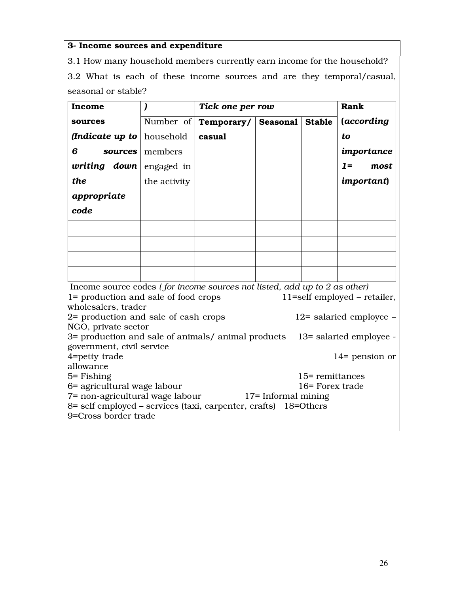# 3- Income sources and expenditure

3.1 How many household members currently earn income for the household?

3.2 What is each of these income sources and are they temporal/casual, seasonal or stable?

| Income                                                                    | $\mathbf{I}$                                                                                                               |            | Tick one per row |                 |                                 |  |  |
|---------------------------------------------------------------------------|----------------------------------------------------------------------------------------------------------------------------|------------|------------------|-----------------|---------------------------------|--|--|
| sources                                                                   | Number of                                                                                                                  | Temporary/ | Seasonal         | <b>Stable</b>   | (according                      |  |  |
| <i>(Indicate up to</i>                                                    | household                                                                                                                  | casual     |                  |                 | to                              |  |  |
| 6<br>sources                                                              | members                                                                                                                    |            |                  |                 | importance                      |  |  |
| writing<br>down                                                           | engaged in                                                                                                                 |            |                  |                 | $1 =$<br>most                   |  |  |
| the                                                                       | the activity                                                                                                               |            |                  |                 | <i>important</i> )              |  |  |
| appropriate                                                               |                                                                                                                            |            |                  |                 |                                 |  |  |
| code                                                                      |                                                                                                                            |            |                  |                 |                                 |  |  |
|                                                                           |                                                                                                                            |            |                  |                 |                                 |  |  |
|                                                                           |                                                                                                                            |            |                  |                 |                                 |  |  |
|                                                                           |                                                                                                                            |            |                  |                 |                                 |  |  |
|                                                                           |                                                                                                                            |            |                  |                 |                                 |  |  |
| Income source codes (for income sources not listed, add up to 2 as other) |                                                                                                                            |            |                  |                 |                                 |  |  |
| 1= production and sale of food crops                                      |                                                                                                                            |            |                  |                 | $11$ =self employed – retailer, |  |  |
| wholesalers, trader                                                       |                                                                                                                            |            |                  |                 |                                 |  |  |
| 2= production and sale of cash crops                                      |                                                                                                                            |            |                  |                 | $12$ = salaried employee –      |  |  |
| NGO, private sector<br>3= production and sale of animals/ animal products |                                                                                                                            |            |                  |                 | 13= salaried employee -         |  |  |
| government, civil service                                                 |                                                                                                                            |            |                  |                 |                                 |  |  |
| 4=petty trade                                                             |                                                                                                                            |            |                  |                 | $14$ = pension or               |  |  |
| allowance                                                                 |                                                                                                                            |            |                  |                 |                                 |  |  |
| 5 = Fishing                                                               |                                                                                                                            |            |                  | 15= remittances |                                 |  |  |
| 6= agricultural wage labour<br>16= Forex trade                            |                                                                                                                            |            |                  |                 |                                 |  |  |
|                                                                           | 7= non-agricultural wage labour<br>17 = Informal mining<br>8= self employed – services (taxi, carpenter, crafts) 18=Others |            |                  |                 |                                 |  |  |
| 9=Cross border trade                                                      |                                                                                                                            |            |                  |                 |                                 |  |  |
|                                                                           |                                                                                                                            |            |                  |                 |                                 |  |  |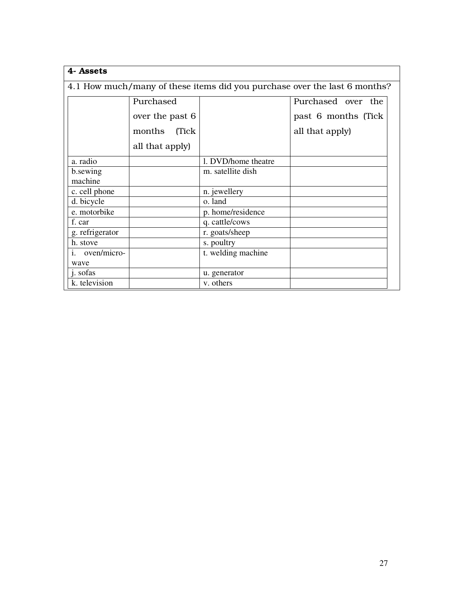| 4- Assets                                                                 |                                 |                     |                     |  |  |  |  |
|---------------------------------------------------------------------------|---------------------------------|---------------------|---------------------|--|--|--|--|
| 4.1 How much/many of these items did you purchase over the last 6 months? |                                 |                     |                     |  |  |  |  |
|                                                                           | Purchased<br>Purchased over the |                     |                     |  |  |  |  |
|                                                                           | over the past 6                 |                     | past 6 months (Tick |  |  |  |  |
|                                                                           | months<br>(Tick)                |                     | all that apply)     |  |  |  |  |
|                                                                           | all that apply)                 |                     |                     |  |  |  |  |
| a. radio                                                                  |                                 | 1. DVD/home theatre |                     |  |  |  |  |
| b.sewing<br>machine                                                       |                                 | m. satellite dish   |                     |  |  |  |  |
| c. cell phone                                                             |                                 | n. jewellery        |                     |  |  |  |  |
| d. bicycle                                                                |                                 | o. land             |                     |  |  |  |  |
| e. motorbike                                                              |                                 | p. home/residence   |                     |  |  |  |  |
| f. car                                                                    |                                 | q. cattle/cows      |                     |  |  |  |  |
| g. refrigerator                                                           |                                 | r. goats/sheep      |                     |  |  |  |  |
| h. stove                                                                  |                                 | s. poultry          |                     |  |  |  |  |
| i. oven/micro-                                                            |                                 | t. welding machine  |                     |  |  |  |  |
| wave                                                                      |                                 |                     |                     |  |  |  |  |
| j. sofas                                                                  |                                 | u. generator        |                     |  |  |  |  |
| k. television                                                             |                                 | v. others           |                     |  |  |  |  |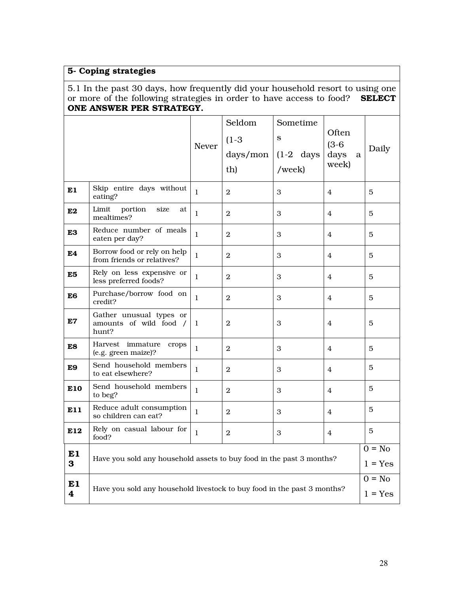# 5- Coping strategies

5.1 In the past 30 days, how frequently did your household resort to using one or more of the following strategies in order to have access to food? SELECT ONE ANSWER PER STRATEGY.

|                                                                                    |                                                                      | Never        | Seldom<br>$(1-3)$<br>days/mon<br>th) | Sometime<br>S<br>$(1-2)$ days<br>/week) | Often<br>$(3-6)$<br>days<br>a<br>week) | Daily                 |
|------------------------------------------------------------------------------------|----------------------------------------------------------------------|--------------|--------------------------------------|-----------------------------------------|----------------------------------------|-----------------------|
| E1                                                                                 | Skip entire days without<br>eating?                                  | $\mathbf{1}$ | $\mathbf{2}$                         | 3                                       | 4                                      | 5                     |
| E <sub>2</sub>                                                                     | Limit<br>portion<br>size<br>at<br>mealtimes?                         | $\mathbf{1}$ | $\mathbf{2}$                         | 3                                       | $\overline{4}$                         | 5                     |
| E3                                                                                 | Reduce number of meals<br>eaten per day?                             | $\mathbf{1}$ | $\overline{2}$                       | 3                                       | $\overline{4}$                         | 5                     |
| E <sub>4</sub>                                                                     | Borrow food or rely on help<br>from friends or relatives?            | $\mathbf{1}$ | $\mathbf{2}$                         | 3                                       | 4                                      | 5                     |
| E5                                                                                 | Rely on less expensive or<br>less preferred foods?                   | 1            | $\mathbf{2}$                         | 3                                       | 4                                      | 5                     |
| E6                                                                                 | Purchase/borrow food on<br>credit?                                   | $\mathbf{1}$ | $\mathbf{2}$                         | 3                                       | 4                                      | 5                     |
| E7                                                                                 | Gather unusual types or<br>amounts of wild food /<br>hunt?           | $\mathbf{1}$ | $\mathbf{2}$                         | 3                                       | 4                                      | 5                     |
| E8                                                                                 | Harvest immature<br>crops<br>(e.g. green maize)?                     | $\mathbf{1}$ | $\mathbf{2}$                         | 3                                       | 4                                      | 5                     |
| E9                                                                                 | Send household members<br>to eat elsewhere?                          | $\mathbf{1}$ | $\mathbf{2}$                         | 3                                       | 4                                      | 5                     |
| E10                                                                                | Send household members<br>to beg?                                    | $\mathbf{1}$ | $\mathfrak{D}$                       | 3                                       | $\overline{4}$                         | 5                     |
| E11                                                                                | Reduce adult consumption<br>so children can eat?                     | $\mathbf{1}$ | $\mathbf{2}$                         | 3                                       | $\overline{4}$                         | 5                     |
| E12                                                                                | Rely on casual labour for<br>food?                                   | $\mathbf{1}$ | $\mathbf{2}$                         | 3                                       | 4                                      | 5                     |
| E1<br>3                                                                            | Have you sold any household assets to buy food in the past 3 months? |              |                                      |                                         |                                        | $0 = No$<br>$1 = Yes$ |
| E1<br>Have you sold any household livestock to buy food in the past 3 months?<br>4 |                                                                      |              |                                      |                                         | $0 = No$<br>$1 = Yes$                  |                       |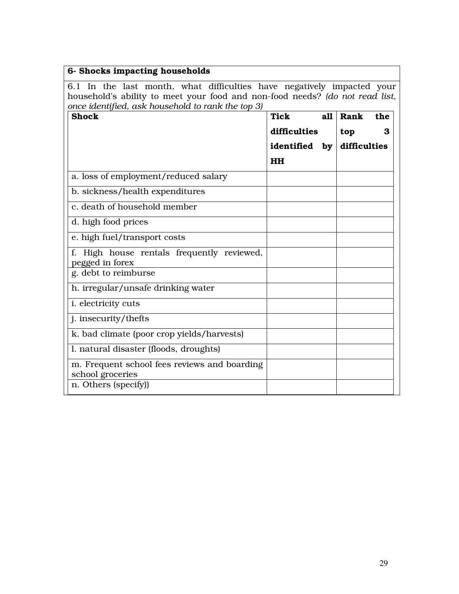| 6- Shocks impacting households                                                                                                                                                                              |               |     |              |     |  |
|-------------------------------------------------------------------------------------------------------------------------------------------------------------------------------------------------------------|---------------|-----|--------------|-----|--|
| 6.1 In the last month, what difficulties have negatively impacted your<br>household's ability to meet your food and non-food needs? (do not read list,<br>once identified, ask household to rank the top 3) |               |     |              |     |  |
| <b>Shock</b>                                                                                                                                                                                                | <b>Tick</b>   | a11 | Rank         | the |  |
|                                                                                                                                                                                                             | difficulties  |     | top          | 3   |  |
|                                                                                                                                                                                                             | identified by |     | difficulties |     |  |
|                                                                                                                                                                                                             | <b>HH</b>     |     |              |     |  |
| a. loss of employment/reduced salary                                                                                                                                                                        |               |     |              |     |  |
| b. sickness/health expenditures                                                                                                                                                                             |               |     |              |     |  |
| c. death of household member                                                                                                                                                                                |               |     |              |     |  |
| d. high food prices                                                                                                                                                                                         |               |     |              |     |  |
| e. high fuel/transport costs                                                                                                                                                                                |               |     |              |     |  |
| High house rentals frequently reviewed,<br>pegged in forex                                                                                                                                                  |               |     |              |     |  |
| g. debt to reimburse                                                                                                                                                                                        |               |     |              |     |  |
| h. irregular/unsafe drinking water                                                                                                                                                                          |               |     |              |     |  |
| <i>i.</i> electricity cuts                                                                                                                                                                                  |               |     |              |     |  |
| j. insecurity/thefts                                                                                                                                                                                        |               |     |              |     |  |
| k. bad climate (poor crop yields/harvests)                                                                                                                                                                  |               |     |              |     |  |
| l. natural disaster (floods, droughts)                                                                                                                                                                      |               |     |              |     |  |
| m. Frequent school fees reviews and boarding<br>school groceries                                                                                                                                            |               |     |              |     |  |
| n. Others (specify))                                                                                                                                                                                        |               |     |              |     |  |